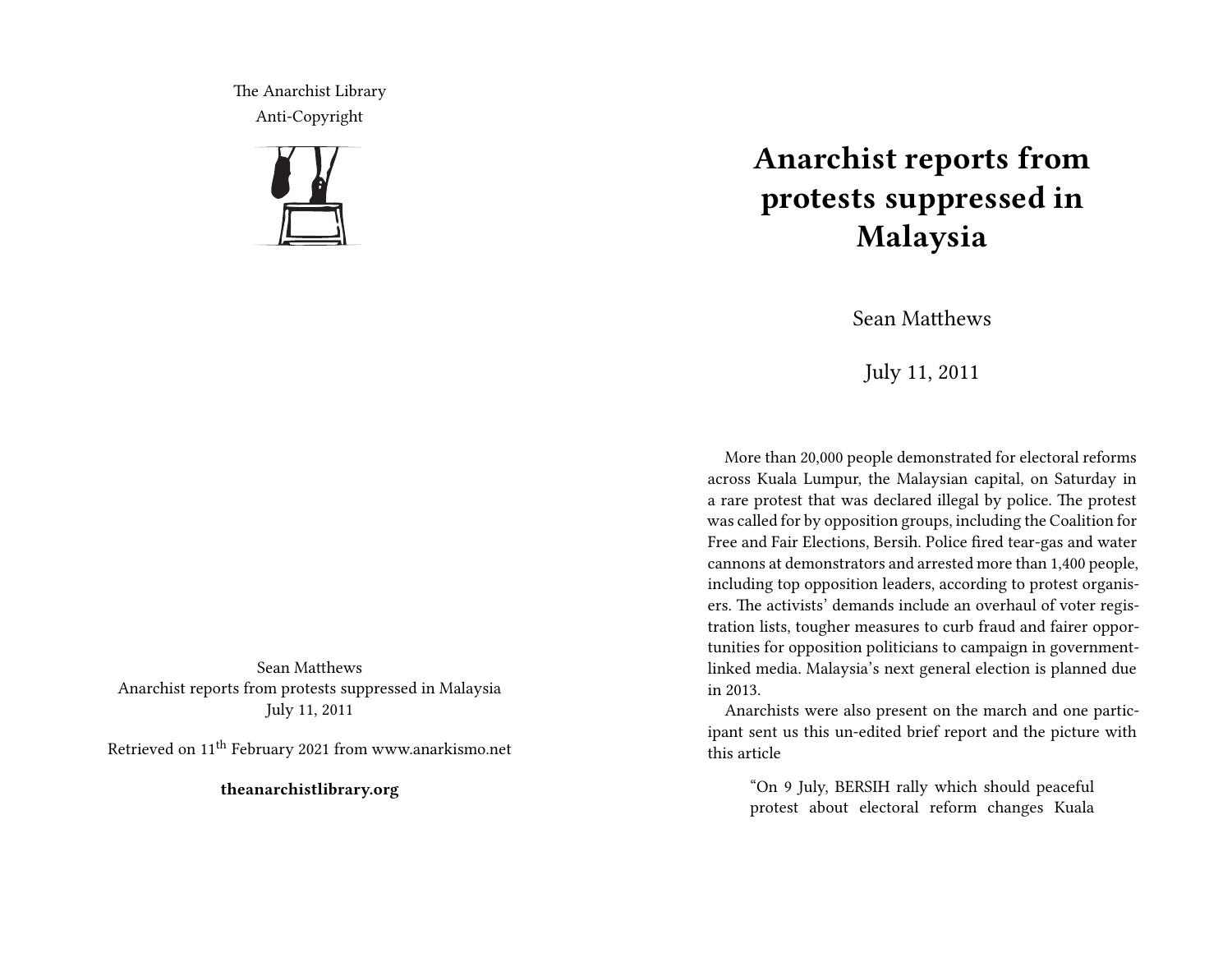The Anarchist Library Anti-Copyright



Sean Matthews Anarchist reports from protests suppressed in Malaysia July 11, 2011

Retrieved on 11th February 2021 from www.anarkismo.net

**theanarchistlibrary.org**

## **Anarchist reports from protests suppressed in Malaysia**

Sean Matthews

July 11, 2011

More than 20,000 people demonstrated for electoral reforms across Kuala Lumpur, the Malaysian capital, on Saturday in a rare protest that was declared illegal by police. The protest was called for by opposition groups, including the Coalition for Free and Fair Elections, Bersih. Police fired tear-gas and water cannons at demonstrators and arrested more than 1,400 people, including top opposition leaders, according to protest organisers. The activists' demands include an overhaul of voter registration lists, tougher measures to curb fraud and fairer opportunities for opposition politicians to campaign in governmentlinked media. Malaysia's next general election is planned due in 2013.

Anarchists were also present on the march and one participant sent us this un-edited brief report and the picture with this article

"On 9 July, BERSIH rally which should peaceful protest about electoral reform changes Kuala